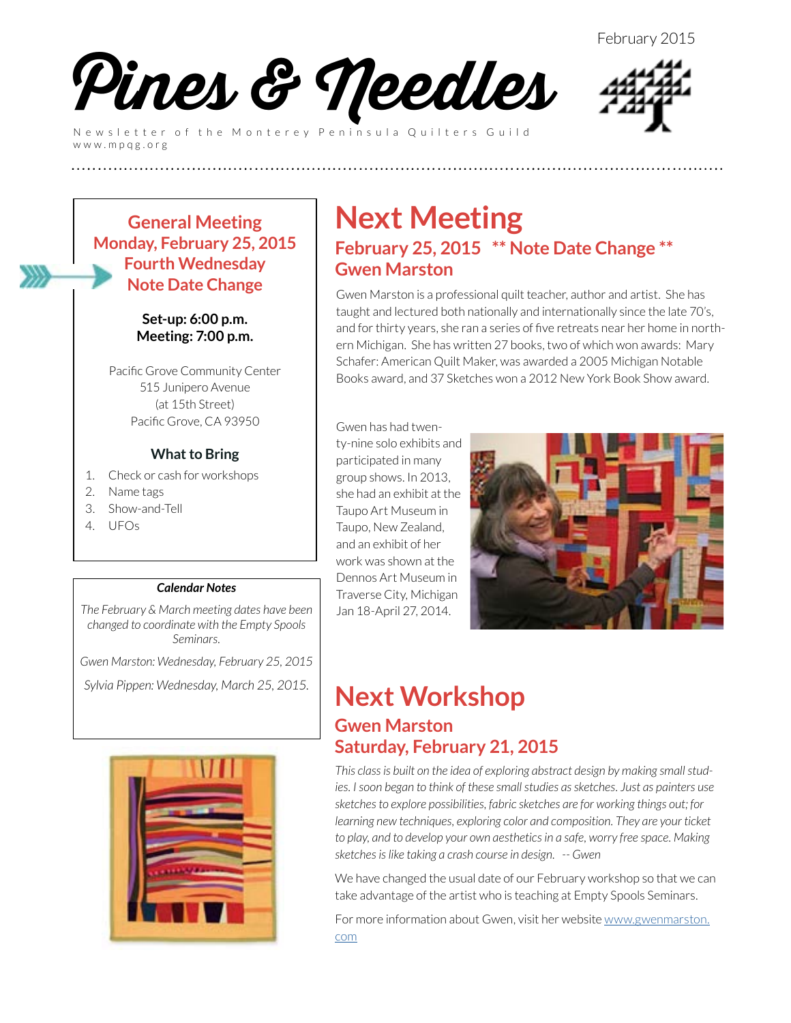

Newsletter of the Monterey Peninsula Quilters Guild www.mpqg.org



**General Meeting Monday, February 25, 2015 Fourth Wednesday Note Date Change**

> **Set-up: 6:00 p.m. Meeting: 7:00 p.m.**

Pacific Grove Community Center 515 Junipero Avenue (at 15th Street) Pacific Grove, CA 93950

#### **What to Bring**

- 1. Check or cash for workshops
- 2. Name tags
- 3. Show-and-Tell
- 4. UFOs

#### *Calendar Notes*

*The February & March meeting dates have been changed to coordinate with the Empty Spools Seminars.* 

*Gwen Marston: Wednesday, February 25, 2015*

*Sylvia Pippen: Wednesday, March 25, 2015.*



### **Next Meeting February 25, 2015 \*\* Note Date Change \*\* Gwen Marston**

Gwen Marston is a professional quilt teacher, author and artist. She has taught and lectured both nationally and internationally since the late 70's, and for thirty years, she ran a series of five retreats near her home in northern Michigan. She has written 27 books, two of which won awards: Mary Schafer: American Quilt Maker, was awarded a 2005 Michigan Notable Books award, and 37 Sketches won a 2012 New York Book Show award.

Gwen has had twenty-nine solo exhibits and participated in many group shows. In 2013, she had an exhibit at the Taupo Art Museum in Taupo, New Zealand, and an exhibit of her work was shown at the Dennos Art Museum in Traverse City, Michigan Jan 18-April 27, 2014.

**(((((((((((((((((((((((((**



### **Next Workshop Gwen Marston Saturday, February 21, 2015**

*This class is built on the idea of exploring abstract design by making small studies. I soon began to think of these small studies as sketches. Just as painters use sketches to explore possibilities, fabric sketches are for working things out; for learning new techniques, exploring color and composition. They are your ticket to play, and to develop your own aesthetics in a safe, worry free space. Making sketches is like taking a crash course in design. -- Gwen*

We have changed the usual date of our February workshop so that we can take advantage of the artist who is teaching at Empty Spools Seminars.

For more information about Gwen, visit her website [www.gwenmarston.](http://www.gwenmarston.com) [com](http://www.gwenmarston.com)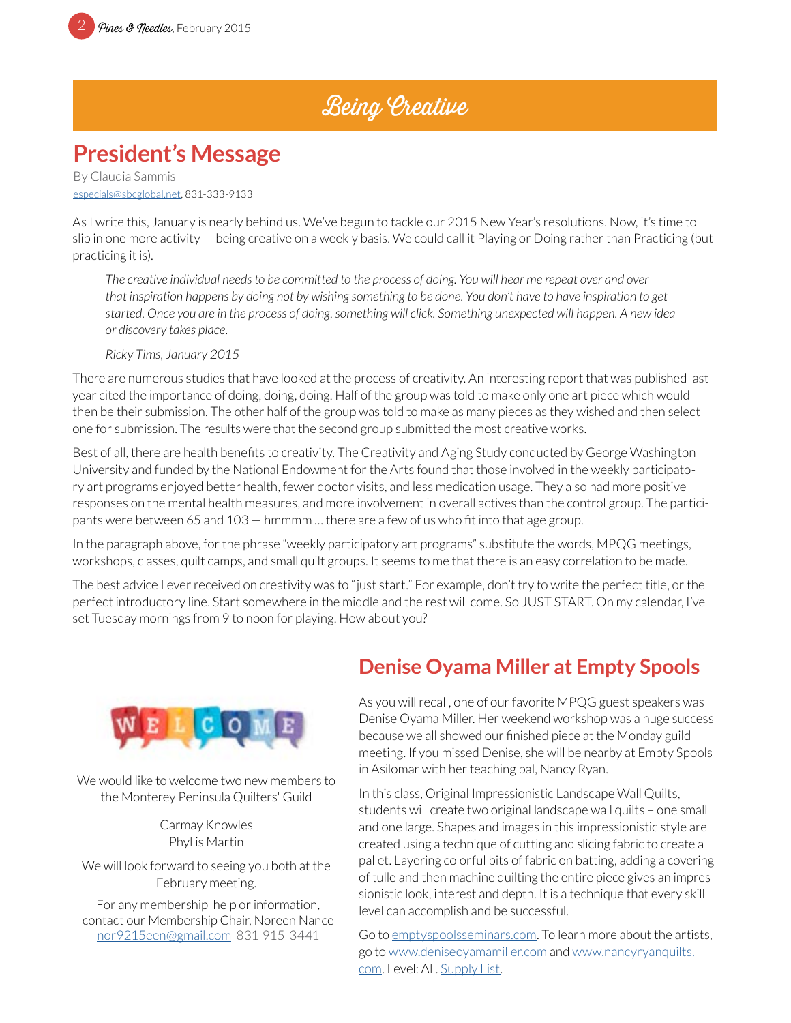### Being Creative

### **President's Message**

By Claudia Sammis [especials@sbcglobal.net](mailto:especials%40sbcglobal.net?subject=MPQG), 831-333-9133

As I write this, January is nearly behind us. We've begun to tackle our 2015 New Year's resolutions. Now, it's time to slip in one more activity — being creative on a weekly basis. We could call it Playing or Doing rather than Practicing (but practicing it is).

*The creative individual needs to be committed to the process of doing. You will hear me repeat over and over that inspiration happens by doing not by wishing something to be done. You don't have to have inspiration to get started. Once you are in the process of doing, something will click. Something unexpected will happen. A new idea or discovery takes place.*

*Ricky Tims, January 2015*

There are numerous studies that have looked at the process of creativity. An interesting report that was published last year cited the importance of doing, doing, doing. Half of the group was told to make only one art piece which would then be their submission. The other half of the group was told to make as many pieces as they wished and then select one for submission. The results were that the second group submitted the most creative works.

Best of all, there are health benefits to creativity. The Creativity and Aging Study conducted by George Washington University and funded by the National Endowment for the Arts found that those involved in the weekly participatory art programs enjoyed better health, fewer doctor visits, and less medication usage. They also had more positive responses on the mental health measures, and more involvement in overall actives than the control group. The participants were between 65 and 103 — hmmmm … there are a few of us who fit into that age group.

In the paragraph above, for the phrase "weekly participatory art programs" substitute the words, MPQG meetings, workshops, classes, quilt camps, and small quilt groups. It seems to me that there is an easy correlation to be made.

The best advice I ever received on creativity was to "just start." For example, don't try to write the perfect title, or the perfect introductory line. Start somewhere in the middle and the rest will come. So JUST START. On my calendar, I've set Tuesday mornings from 9 to noon for playing. How about you?



We would like to welcome two new members to the Monterey Peninsula Quilters' Guild

> Carmay Knowles Phyllis Martin

We will look forward to seeing you both at the February meeting.

For any membership help or information, contact our Membership Chair, Noreen Nance [nor9215een@gmail.com](mailto:nor9215een%40gmail.com?subject=MPQG%20Membership) 831-915-3441

### **Denise Oyama Miller at Empty Spools**

As you will recall, one of our favorite MPQG guest speakers was Denise Oyama Miller. Her weekend workshop was a huge success because we all showed our finished piece at the Monday guild meeting. If you missed Denise, she will be nearby at Empty Spools in Asilomar with her teaching pal, Nancy Ryan.

In this class, Original Impressionistic Landscape Wall Quilts, students will create two original landscape wall quilts – one small and one large. Shapes and images in this impressionistic style are created using a technique of cutting and slicing fabric to create a pallet. Layering colorful bits of fabric on batting, adding a covering of tulle and then machine quilting the entire piece gives an impressionistic look, interest and depth. It is a technique that every skill level can accomplish and be successful.

Go to [emptyspoolsseminars.com.](http://emptyspoolsseminars.com) To learn more about the artists, go to [www.deniseoyamamiller.com](http://www.deniseoyamamiller.com) and [www.nancyryanquilts.](http://www.nancyryanquilts.com) [com](http://www.nancyryanquilts.com). Level: All. [Supply List](http://emptyspoolsseminars.com/2015/02MillerRyan.pdf).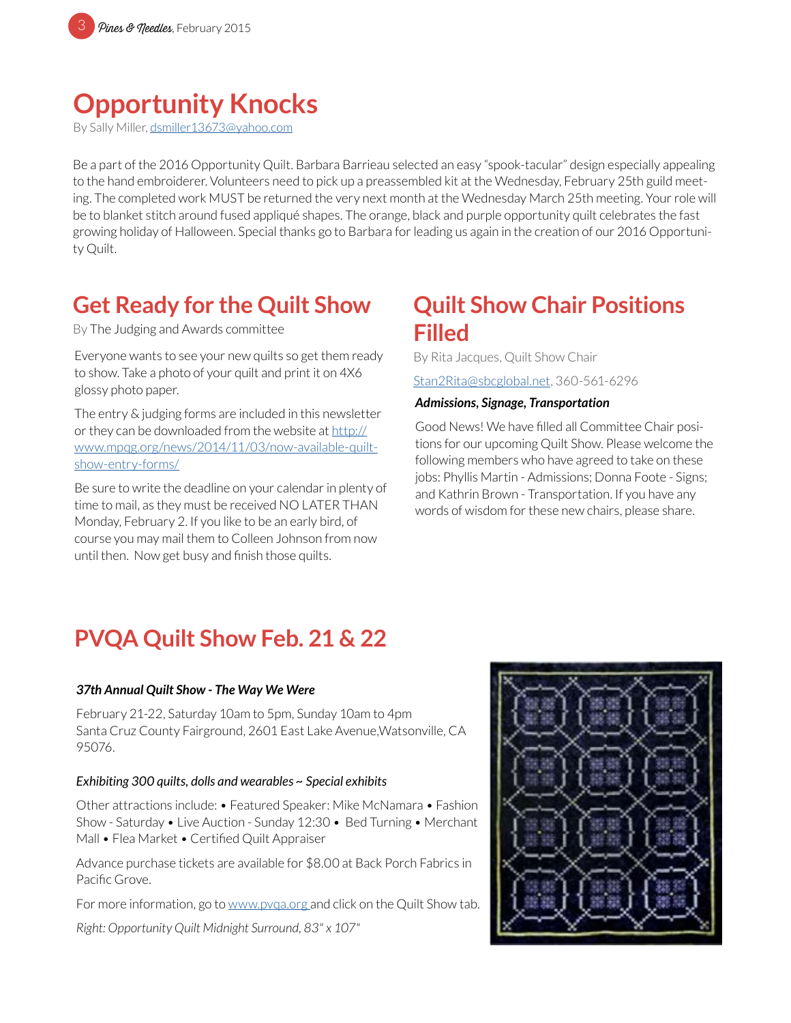# **Opportunity Knocks**

By Sally Miller, [dsmiller13673@yahoo.com](mailto:dsmiller13673%40yahoo.com?subject=MPQG%20Opportunity%20Quilt)

Be a part of the 2016 Opportunity Quilt. Barbara Barrieau selected an easy "spook-tacular" design especially appealing to the hand embroiderer. Volunteers need to pick up a preassembled kit at the Wednesday, February 25th guild meeting. The completed work MUST be returned the very next month at the Wednesday March 25th meeting. Your role will be to blanket stitch around fused appliqué shapes. The orange, black and purple opportunity quilt celebrates the fast growing holiday of Halloween. Special thanks go to Barbara for leading us again in the creation of our 2016 Opportunity Quilt.

### **Get Ready for the Quilt Show**

By The Judging and Awards committee

Everyone wants to see your new quilts so get them ready to show. Take a photo of your quilt and print it on 4X6 glossy photo paper.

The entry & judging forms are included in this newsletter or they can be downloaded from the website at [http://](http://www.mpqg.org/news/2014/11/03/now-available-quilt-show-entry-forms/) [www.mpqg.org/news/2014/11/03/now-available-quilt](http://www.mpqg.org/news/2014/11/03/now-available-quilt-show-entry-forms/)[show-entry-forms/](http://www.mpqg.org/news/2014/11/03/now-available-quilt-show-entry-forms/)

Be sure to write the deadline on your calendar in plenty of time to mail, as they must be received NO LATER THAN Monday, February 2. If you like to be an early bird, of course you may mail them to Colleen Johnson from now until then. Now get busy and finish those quilts.

### **Quilt Show Chair Positions Filled**

By Rita Jacques, Quilt Show Chair

[Stan2Rita@sbcglobal.net](mailto:Stan2Rita%40sbcglobal.net?subject=MPQG%20Quilt%20Show), 360-561-6296

#### *Admissions, Signage, Transportation*

Good News! We have filled all Committee Chair positions for our upcoming Quilt Show. Please welcome the following members who have agreed to take on these jobs: Phyllis Martin - Admissions; Donna Foote - Signs; and Kathrin Brown - Transportation. If you have any words of wisdom for these new chairs, please share.

### **PVQA Quilt Show Feb. 21 & 22**

#### *37th Annual Quilt Show - The Way We Were*

February 21-22, Saturday 10am to 5pm, Sunday 10am to 4pm Santa Cruz County Fairground, 2601 East Lake Avenue,Watsonville, CA 95076.

#### *Exhibiting 300 quilts, dolls and wearables ~ Special exhibits*

Other attractions include: • Featured Speaker: Mike McNamara • Fashion Show - Saturday • Live Auction - Sunday 12:30 • Bed Turning • Merchant Mall • Flea Market • Certified Quilt Appraiser

Advance purchase tickets are available for \$8.00 at Back Porch Fabrics in Pacific Grove.

For more information, go to [www.pvqa.org](http://www.pvqa.org) and click on the Quilt Show tab.

*Right: Opportunity Quilt Midnight Surround, 83" x 107"*

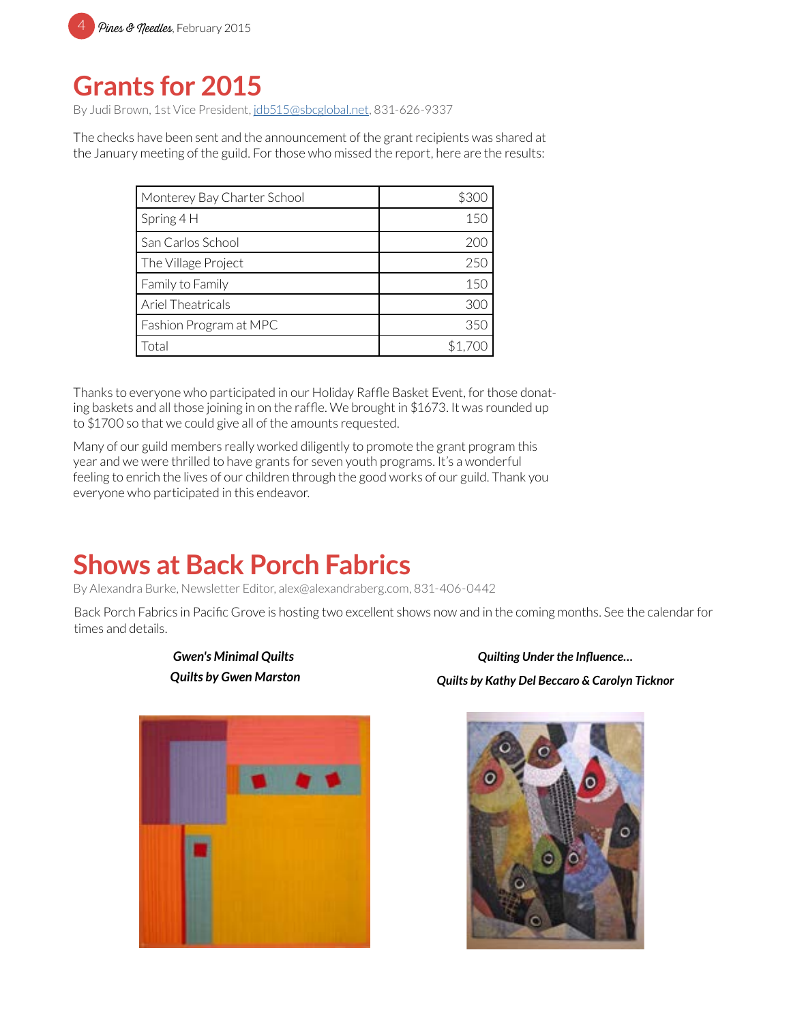

## **Grants for 2015**

By Judi Brown, 1st Vice President, [jdb515@sbcglobal.net](mailto:jdb515%40sbcglobal.net?subject=MPQG%20Grants%20for%202015), 831-626-9337

The checks have been sent and the announcement of the grant recipients was shared at the January meeting of the guild. For those who missed the report, here are the results:

| Monterey Bay Charter School | \$300   |
|-----------------------------|---------|
| Spring $4H$                 | 150     |
| San Carlos School           | 200     |
| The Village Project         | 250     |
| Family to Family            | 150     |
| Ariel Theatricals           | 300     |
| Fashion Program at MPC      | 350     |
| Total                       | \$1.700 |

Thanks to everyone who participated in our Holiday Raffle Basket Event, for those donating baskets and all those joining in on the raffle. We brought in \$1673. It was rounded up to \$1700 so that we could give all of the amounts requested.

Many of our guild members really worked diligently to promote the grant program this year and we were thrilled to have grants for seven youth programs. It's a wonderful feeling to enrich the lives of our children through the good works of our guild. Thank you everyone who participated in this endeavor.

### **Shows at Back Porch Fabrics**

*Gwen's Minimal Quilts Quilts by Gwen Marston*

By Alexandra Burke, Newsletter Editor, alex@alexandraberg.com, 831-406-0442

Back Porch Fabrics in Pacific Grove is hosting two excellent shows now and in the coming months. See the calendar for times and details.



*Quilting Under the Influence… Quilts by Kathy Del Beccaro & Carolyn Ticknor*

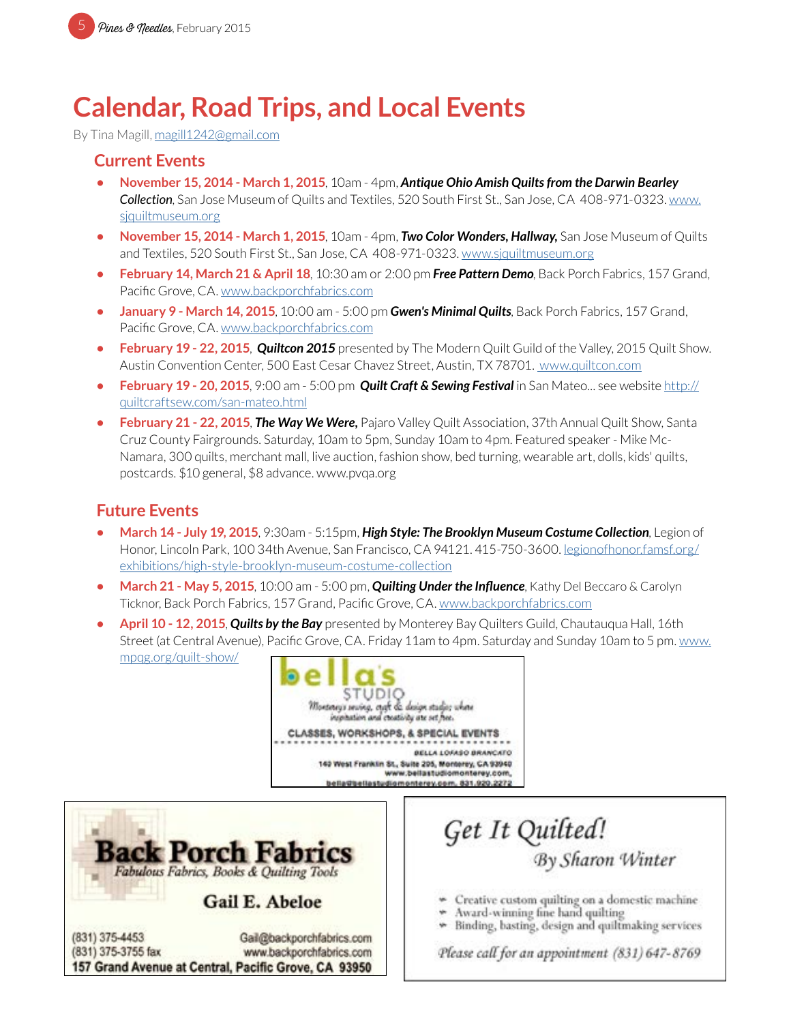# **Calendar, Road Trips, and Local Events**

By Tina Magill, [magill1242@gmail.com](mailto:magill1242%40gmail.com?subject=MPQG%20Calendar)

### **Current Events**

- **• November 15, 2014 March 1, 2015**, 10am 4pm, *Antique Ohio Amish Quilts from the Darwin Bearley Collection*, San Jose Museum of Quilts and Textiles, 520 South First St., San Jose, CA 408-971-0323. [www.](http://www.sjquiltmuseum.org) [sjquiltmuseum.or](http://www.sjquiltmuseum.org)g
- **• November 15, 2014 March 1, 2015**, 10am 4pm, *Two Color Wonders, Hallway,* San Jose Museum of Quilts and Textiles, 520 South First St., San Jose, CA 408-971-0323. [www.sjquiltmuseum.org](http://www.sjquiltmuseum.org)
- **• February 14, March 21 & April 18**, 10:30 am or 2:00 pm *Free Pattern Demo*, Back Porch Fabrics, 157 Grand, Pacific Grove, CA. [www.backporchfabrics.com](http://www.backporchfabrics.com)
- **• January 9 March 14, 2015**, 10:00 am 5:00 pm *Gwen's Minimal Quilts*, Back Porch Fabrics, 157 Grand, Pacific Grove, CA. [www.backporchfabrics.com](http://www.backporchfabrics.com)
- **• February 19 22, 2015**, *Quiltcon 2015* presented by The Modern Quilt Guild of the Valley, 2015 Quilt Show. Austin Convention Center, 500 East Cesar Chavez Street, Austin, TX 78701. [www.quiltcon.com](http://www.quiltcon.com)
- **• February 19 20, 2015**, 9:00 am 5:00 pm *Quilt Craft & Sewing Festival* in San Mateo... see website [http://](http://quiltcraftsew.com/san-mateo.html) [quiltcraftsew.com/san-mateo.html](http://quiltcraftsew.com/san-mateo.html)
- **• February 21 22, 2015**, *The Way We Were,* Pajaro Valley Quilt Association, 37th Annual Quilt Show, Santa Cruz County Fairgrounds. Saturday, 10am to 5pm, Sunday 10am to 4pm. Featured speaker - Mike Mc-Namara, 300 quilts, merchant mall, live auction, fashion show, bed turning, wearable art, dolls, kids' quilts, postcards. \$10 general, \$8 advance. www.pvqa.org

### **Future Events**

- **• March 14 July 19, 2015**, 9:30am 5:15pm, *High Style: The Brooklyn Museum Costume Collection*, Legion of Honor, Lincoln Park, 100 34th Avenue, San Francisco, CA 94121. 415-750-3600. l[egionofhonor.famsf.org/](http://legionofhonor.famsf.org/exhibitions/high-style-brooklyn-museum-costume-collection) [exhibitions/high-style-brooklyn-museum-costume-collection](http://legionofhonor.famsf.org/exhibitions/high-style-brooklyn-museum-costume-collection)
- **• March 21 May 5, 2015**, 10:00 am 5:00 pm, *Quilting Under the Influence*, Kathy Del Beccaro & Carolyn Ticknor, Back Porch Fabrics, 157 Grand, Pacific Grove, CA. [www.backporchfabrics.com](http://www.backporchfabrics.com)
- **• April 10 12, 2015**, *Quilts by the Bay* presented by Monterey Bay Quilters Guild, Chautauqua Hall, 16th Street (at Central Avenue), Pacific Grove, CA. Friday 11am to 4pm. Saturday and Sunday 10am to 5 pm. [www.](mailto:www.mpqg.org/quilt-show/?subject=MPQG%20Quilt%20Show%3A%20Quilts%20by%20the%20Bay) [mpqg.org/quilt-show/](mailto:www.mpqg.org/quilt-show/?subject=MPQG%20Quilt%20Show%3A%20Quilts%20by%20the%20Bay)





Get It Quilted!<br>By Sharon Winter

- Creative custom quilting on a domestic machine
- Award-winning fine hand quilting
- Binding, basting, design and quiltmaking services

Please call for an appointment (831) 647-8769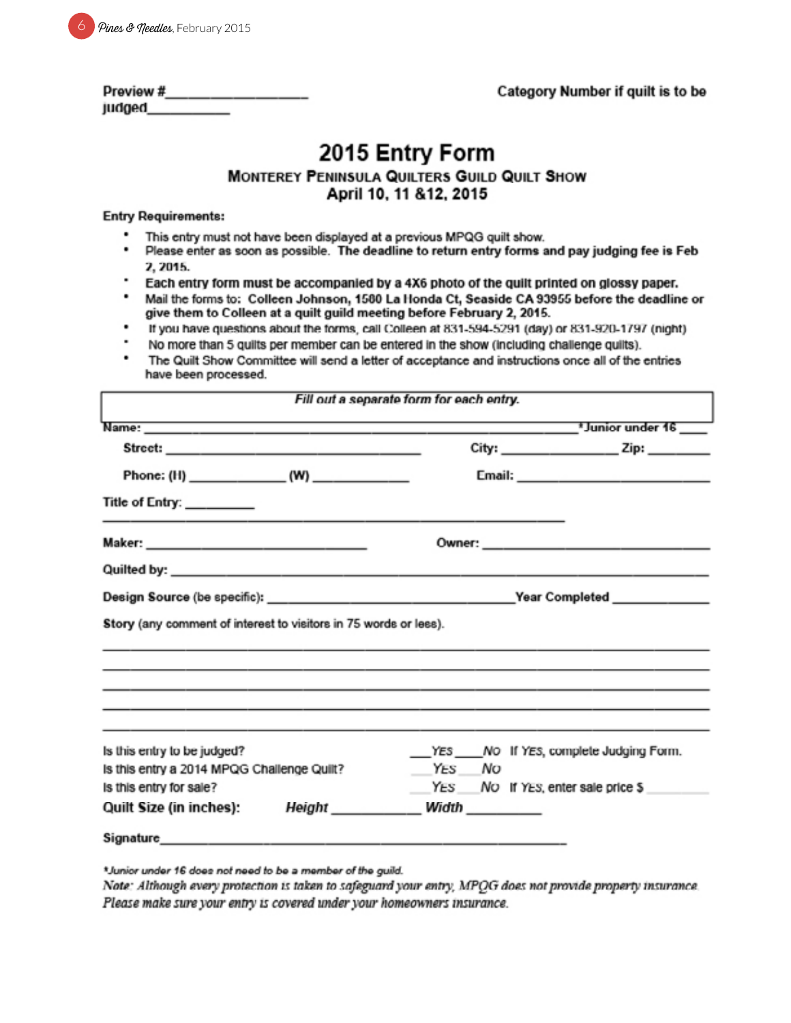|  | <sup>6</sup> Pines & needles, February 2015 |
|--|---------------------------------------------|
|--|---------------------------------------------|

| Preview # |  |  |  |
|-----------|--|--|--|
| judged.   |  |  |  |

# 2015 Entry Form

#### MONTEREY PENINSULA QUILTERS GUILD QUILT SHOW April 10, 11 & 12, 2015

#### **Entry Requirements:**

- This entry must not have been displayed at a previous MPQG quilt show.
- . Please enter as soon as possible. The deadline to return entry forms and pay judging fee is Feb 2, 2015.
- Each entry form must be accompanied by a 4X6 photo of the quilt printed on glossy paper.
- ٠ Mail the forms to: Colleen Johnson, 1580 La Honda Ct, Seaside CA 93955 before the deadline or give them to Colleen at a quilt guild meeting before February 2, 2015.
- If you have questions about the forms, call Colleen at 831-594-5291 (day) or 831-920-1797 (night) .
- No more than 5 quilts per member can be entered in the show (including challenge quilts).
- The Quilt Show Committee will send a letter of acceptance and instructions once all of the entries have been processed.

|                                                                                     | $City:$ $Zip:$ $Zip:$                           |
|-------------------------------------------------------------------------------------|-------------------------------------------------|
|                                                                                     |                                                 |
| Title of Entry: ________                                                            |                                                 |
|                                                                                     |                                                 |
|                                                                                     |                                                 |
|                                                                                     |                                                 |
| Story (any comment of interest to visitors in 75 words or less).                    |                                                 |
|                                                                                     |                                                 |
| Is this entry to be judged?                                                         |                                                 |
| Is this entry a 2014 MPQG Challenge Quilt?                                          | YES NO If YES, complete Judging Form.<br>YES NO |
| Is this entry for sale?<br>Quilt Size (in inches): Height __________ Width ________ | YES NO If YES, enter sale price \$              |

\*Junior under 16 does not need to be a member of the guild.

Note: Although every protection is taken to safeguard your entry, MPQG does not provide property insurance. Please make sure your entry is covered under your homeowners insurance.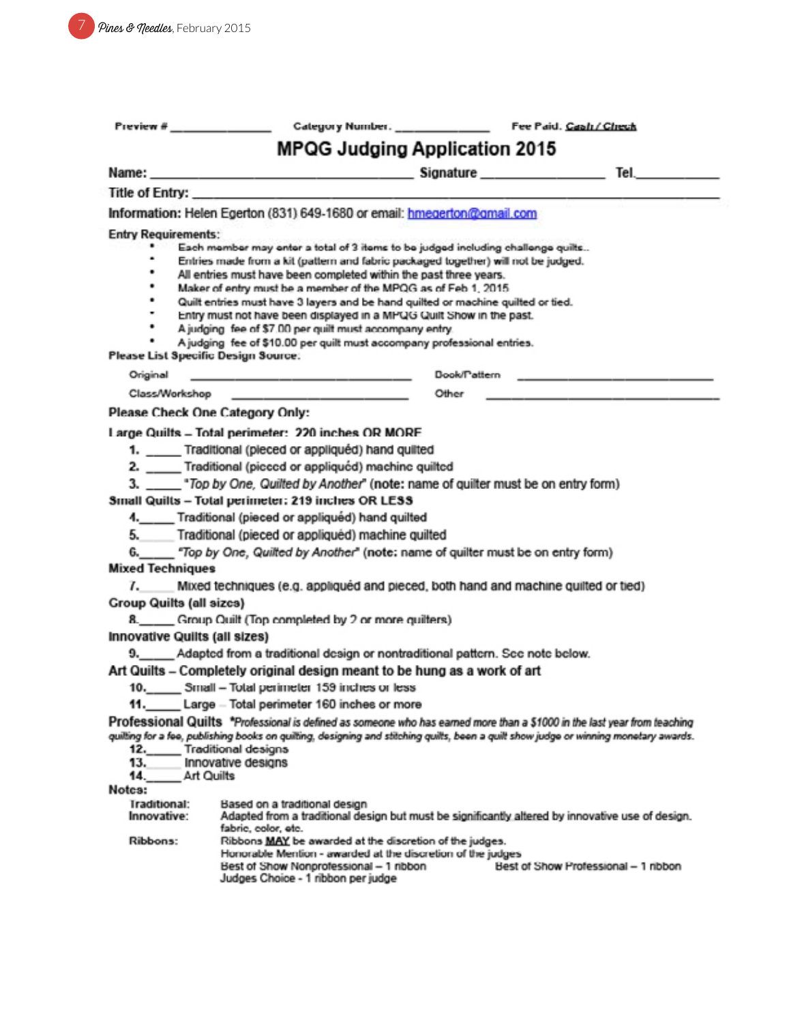| Preview #                                                                                                   |                                                                                                                                                                                                                                                                                                                                                                                                                                                                                                                                                                                                                                                                                                                                                                                                                                                                                                                                                                                                                                                                                                                              |              |                                     |  |
|-------------------------------------------------------------------------------------------------------------|------------------------------------------------------------------------------------------------------------------------------------------------------------------------------------------------------------------------------------------------------------------------------------------------------------------------------------------------------------------------------------------------------------------------------------------------------------------------------------------------------------------------------------------------------------------------------------------------------------------------------------------------------------------------------------------------------------------------------------------------------------------------------------------------------------------------------------------------------------------------------------------------------------------------------------------------------------------------------------------------------------------------------------------------------------------------------------------------------------------------------|--------------|-------------------------------------|--|
| <b>MPQG Judging Application 2015</b>                                                                        |                                                                                                                                                                                                                                                                                                                                                                                                                                                                                                                                                                                                                                                                                                                                                                                                                                                                                                                                                                                                                                                                                                                              |              |                                     |  |
|                                                                                                             |                                                                                                                                                                                                                                                                                                                                                                                                                                                                                                                                                                                                                                                                                                                                                                                                                                                                                                                                                                                                                                                                                                                              |              |                                     |  |
|                                                                                                             | Title of Entry:                                                                                                                                                                                                                                                                                                                                                                                                                                                                                                                                                                                                                                                                                                                                                                                                                                                                                                                                                                                                                                                                                                              |              |                                     |  |
|                                                                                                             | Information: Helen Egerton (831) 649-1680 or email: hmegerton@gmail.com                                                                                                                                                                                                                                                                                                                                                                                                                                                                                                                                                                                                                                                                                                                                                                                                                                                                                                                                                                                                                                                      |              |                                     |  |
| <b>Entry Requirements:</b><br>٠<br>٠<br>٠<br>٠<br>٠<br>٠<br>Please List Specific Design Source:<br>Original | Each member may enter a total of 3 items to be judged including challenge quilts<br>Entries made from a kit (pattern and fabric packaged together) will not be judged.<br>All entries must have been completed within the past three years.<br>Maker of entry must be a member of the MPOG as of Feb 1, 2015.<br>Quilt entries must have 3 layers and be hand quilted or machine quilted or tied.<br>Entry must not have been displayed in a MPQG Quilt Show in the past.<br>A judging fee of \$7.00 per quilt must accompany entry.<br>A judging fee of \$10.00 per quilt must accompany professional entries.<br>the special company of the support of the sub-                                                                                                                                                                                                                                                                                                                                                                                                                                                            | Dook/Pattern |                                     |  |
|                                                                                                             |                                                                                                                                                                                                                                                                                                                                                                                                                                                                                                                                                                                                                                                                                                                                                                                                                                                                                                                                                                                                                                                                                                                              | Other        |                                     |  |
|                                                                                                             | Please Check One Category Only:                                                                                                                                                                                                                                                                                                                                                                                                                                                                                                                                                                                                                                                                                                                                                                                                                                                                                                                                                                                                                                                                                              |              |                                     |  |
| 5.<br><b>Mixed Techniques</b><br><b>Group Quilts (all sizcs)</b><br><b>Innovative Quilts (all sizes)</b>    | Large Quilts - Total perimeter: 220 inches OR MORE<br>1. ____ Traditional (pieced or appliquéd) hand quilted<br>2. ____ Traditional (picced or appliquéd) machine quilted<br>3. ____ *Top by One, Quilted by Another" (note: name of quilter must be on entry form)<br>Small Quilts - Total perimeter: 219 inches OR LESS<br>4. Traditional (pieced or appliquéd) hand quilted<br>Traditional (pieced or appliquéd) machine quilted<br>Mixed techniques (e.g. appliquéd and pieced, both hand and machine quilted or tied)<br>8._____ Group Quilt (Top completed by 2 or more quilters)<br>9. Adapted from a traditional design or nontraditional pattern. See note below.<br>Art Quilts – Completely original design meant to be hung as a work of art<br>10. Small - Total perimeter 159 inches or less<br>Large - Total perimeter 160 inches or more<br>Professional Quilts *Professional is defined as someone who has earned more than a \$1000 in the last year from teaching<br>quilting for a fee, publishing books on quilting, designing and stitching quilts, been a quilt show judge or winning monetary awards. |              |                                     |  |
| 12.<br>13.<br>14.<br>Notes:<br><b>Iraditional:</b><br>Innovative:<br>Ribbons:                               | Traditional designs<br>Innovative designs<br>Art Quilts<br>Based on a traditional design<br>Adapted from a traditional design but must be significantly altered by innovative use of design.<br>fabric, color, etc.<br>Ribbons MAY be awarded at the discretion of the judges.<br>Honorable Mention - awarded at the discretion of the judges<br>Best of Show Nonprofessional - 1 ribbon<br>Judges Choice - 1 ribbon per judge                                                                                                                                                                                                                                                                                                                                                                                                                                                                                                                                                                                                                                                                                               |              | Best of Show Professional - 1 nbbon |  |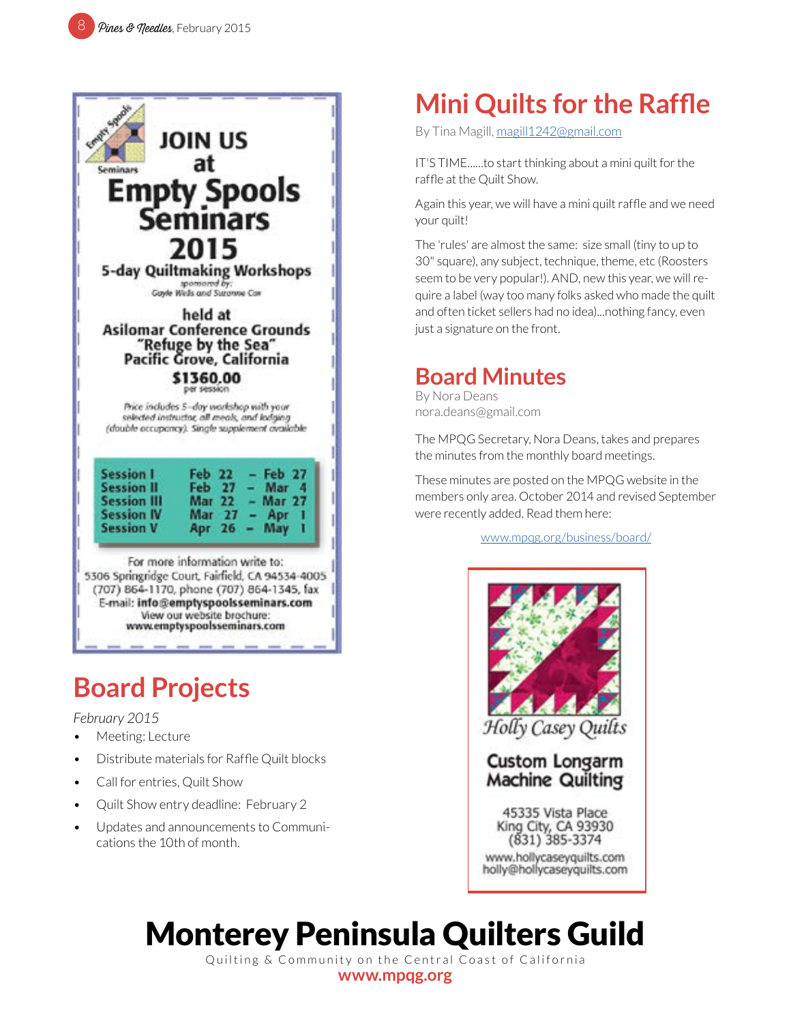

# **Board Projects**

#### *February 2015*

- Meeting: Lecture
- Distribute materials for Raffle Quilt blocks
- Call for entries, Quilt Show
- Quilt Show entry deadline: February 2
- Updates and announcements to Communications the 10th of month.

# **Mini Quilts for the Raffle**

By Tina Magill, [magill1242@gmail.com](mailto:magill1242%40gmail.com?subject=MPQG%20Calendar)

IT'S TIME......to start thinking about a mini quilt for the raffle at the Quilt Show.

Again this year, we will have a mini quilt raffle and we need your quilt!

The 'rules' are almost the same: size small (tiny to up to 30" square), any subject, technique, theme, etc (Roosters seem to be very popular!). AND, new this year, we will require a label (way too many folks asked who made the quilt and often ticket sellers had no idea)...nothing fancy, even just a signature on the front.

### **Board Minutes**

By Nora Deans nora.deans@gmail.com

The MPQG Secretary, Nora Deans, takes and prepares the minutes from the monthly board meetings.

These minutes are posted on the MPQG website in the members only area. October 2014 and revised September were recently added. Read them here:

[www.mpqg.org/business/board/](http://www.mpqg.org/business/board/)



# Monterey Peninsula Quilters Guild

Quilting & Community on the Central Coast of California **[www.mpqg.org](http://www.mpqg.org)**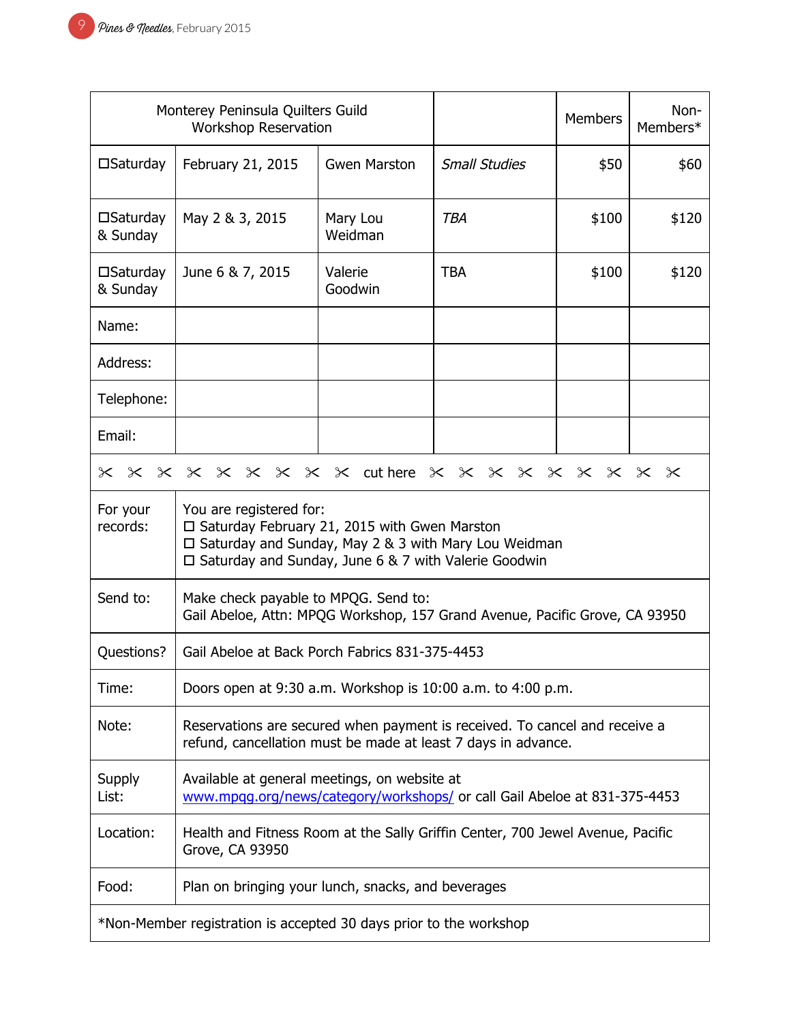| Monterey Peninsula Quilters Guild<br><b>Workshop Reservation</b>                                                                             |                                                                                                                                                                                                         |                     | <b>Members</b>       | Non-<br>Members* |       |
|----------------------------------------------------------------------------------------------------------------------------------------------|---------------------------------------------------------------------------------------------------------------------------------------------------------------------------------------------------------|---------------------|----------------------|------------------|-------|
| $\square$ Saturday                                                                                                                           | February 21, 2015                                                                                                                                                                                       | <b>Gwen Marston</b> | <b>Small Studies</b> | \$50             | \$60  |
| $\square$ Saturday<br>& Sunday                                                                                                               | May 2 & 3, 2015                                                                                                                                                                                         | Mary Lou<br>Weidman | <b>TBA</b>           | \$100            | \$120 |
| $\square$ Saturday<br>& Sunday                                                                                                               | June 6 & 7, 2015                                                                                                                                                                                        | Valerie<br>Goodwin  | <b>TBA</b>           | \$100            | \$120 |
| Name:                                                                                                                                        |                                                                                                                                                                                                         |                     |                      |                  |       |
| Address:                                                                                                                                     |                                                                                                                                                                                                         |                     |                      |                  |       |
| Telephone:                                                                                                                                   |                                                                                                                                                                                                         |                     |                      |                  |       |
| Email:                                                                                                                                       |                                                                                                                                                                                                         |                     |                      |                  |       |
| $\times$                                                                                                                                     | × × × × × × × × wthere × × × × × × × × × ×                                                                                                                                                              |                     |                      |                  |       |
| For your<br>records:                                                                                                                         | You are registered for:<br>$\Box$ Saturday February 21, 2015 with Gwen Marston<br>□ Saturday and Sunday, May 2 & 3 with Mary Lou Weidman<br>$\Box$ Saturday and Sunday, June 6 & 7 with Valerie Goodwin |                     |                      |                  |       |
| Send to:                                                                                                                                     | Make check payable to MPQG. Send to:<br>Gail Abeloe, Attn: MPQG Workshop, 157 Grand Avenue, Pacific Grove, CA 93950                                                                                     |                     |                      |                  |       |
| Questions?                                                                                                                                   | Gail Abeloe at Back Porch Fabrics 831-375-4453                                                                                                                                                          |                     |                      |                  |       |
| Time:                                                                                                                                        | Doors open at 9:30 a.m. Workshop is 10:00 a.m. to 4:00 p.m.                                                                                                                                             |                     |                      |                  |       |
| Note:                                                                                                                                        | Reservations are secured when payment is received. To cancel and receive a<br>refund, cancellation must be made at least 7 days in advance.                                                             |                     |                      |                  |       |
| Available at general meetings, on website at<br>Supply<br>List:<br>www.mpgg.org/news/category/workshops/ or call Gail Abeloe at 831-375-4453 |                                                                                                                                                                                                         |                     |                      |                  |       |
| Location:                                                                                                                                    | Health and Fitness Room at the Sally Griffin Center, 700 Jewel Avenue, Pacific<br>Grove, CA 93950                                                                                                       |                     |                      |                  |       |
| Food:                                                                                                                                        | Plan on bringing your lunch, snacks, and beverages                                                                                                                                                      |                     |                      |                  |       |
| *Non-Member registration is accepted 30 days prior to the workshop                                                                           |                                                                                                                                                                                                         |                     |                      |                  |       |